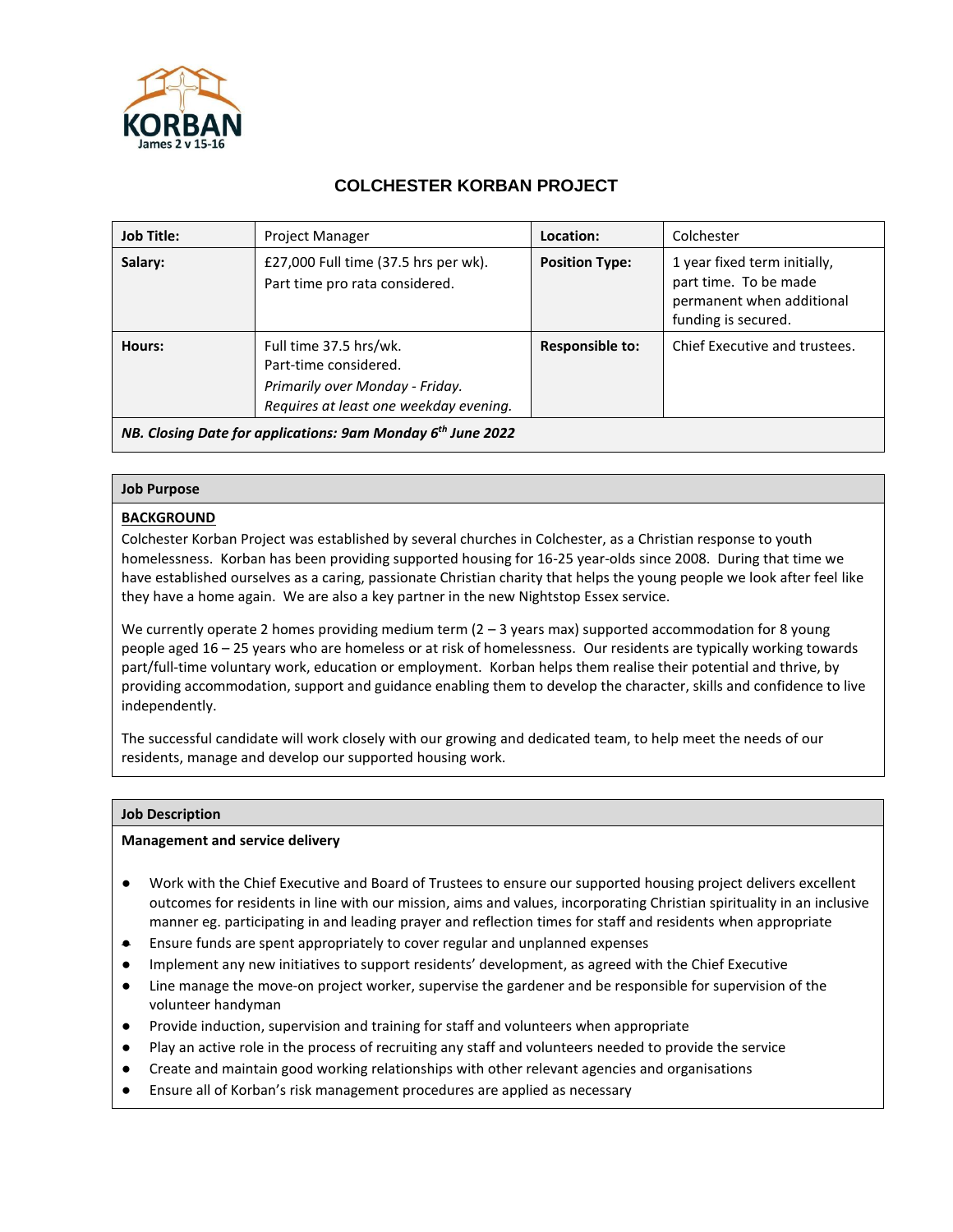

# **COLCHESTER KORBAN PROJECT**

| <b>Job Title:</b>                                                       | <b>Project Manager</b>                                                                                                       | Location:              | Colchester                                                                                                |
|-------------------------------------------------------------------------|------------------------------------------------------------------------------------------------------------------------------|------------------------|-----------------------------------------------------------------------------------------------------------|
| Salary:                                                                 | £27,000 Full time (37.5 hrs per wk).<br>Part time pro rata considered.                                                       | <b>Position Type:</b>  | 1 year fixed term initially,<br>part time. To be made<br>permanent when additional<br>funding is secured. |
| Hours:                                                                  | Full time 37.5 hrs/wk.<br>Part-time considered.<br>Primarily over Monday - Friday.<br>Requires at least one weekday evening. | <b>Responsible to:</b> | Chief Executive and trustees.                                                                             |
| NB. Closing Date for applications: 9am Monday 6 <sup>th</sup> June 2022 |                                                                                                                              |                        |                                                                                                           |

## **Job Purpose**

## **BACKGROUND**

Colchester Korban Project was established by several churches in Colchester, as a Christian response to youth homelessness. Korban has been providing supported housing for 16-25 year-olds since 2008. During that time we have established ourselves as a caring, passionate Christian charity that helps the young people we look after feel like they have a home again. We are also a key partner in the new Nightstop Essex service.

We currently operate 2 homes providing medium term (2 - 3 years max) supported accommodation for 8 young people aged 16 – 25 years who are homeless or at risk of homelessness. Our residents are typically working towards part/full-time voluntary work, education or employment. Korban helps them realise their potential and thrive, by providing accommodation, support and guidance enabling them to develop the character, skills and confidence to live independently.

The successful candidate will work closely with our growing and dedicated team, to help meet the needs of our residents, manage and develop our supported housing work.

#### **Job Description**

#### **Management and service delivery**

- Work with the Chief Executive and Board of Trustees to ensure our supported housing project delivers excellent outcomes for residents in line with our mission, aims and values, incorporating Christian spirituality in an inclusive manner eg. participating in and leading prayer and reflection times for staff and residents when appropriate
- Ensure funds are spent appropriately to cover regular and unplanned expenses
- Implement any new initiatives to support residents' development, as agreed with the Chief Executive
- Line manage the move-on project worker, supervise the gardener and be responsible for supervision of the volunteer handyman
- Provide induction, supervision and training for staff and volunteers when appropriate
- Play an active role in the process of recruiting any staff and volunteers needed to provide the service
- Create and maintain good working relationships with other relevant agencies and organisations
- Ensure all of Korban's risk management procedures are applied as necessary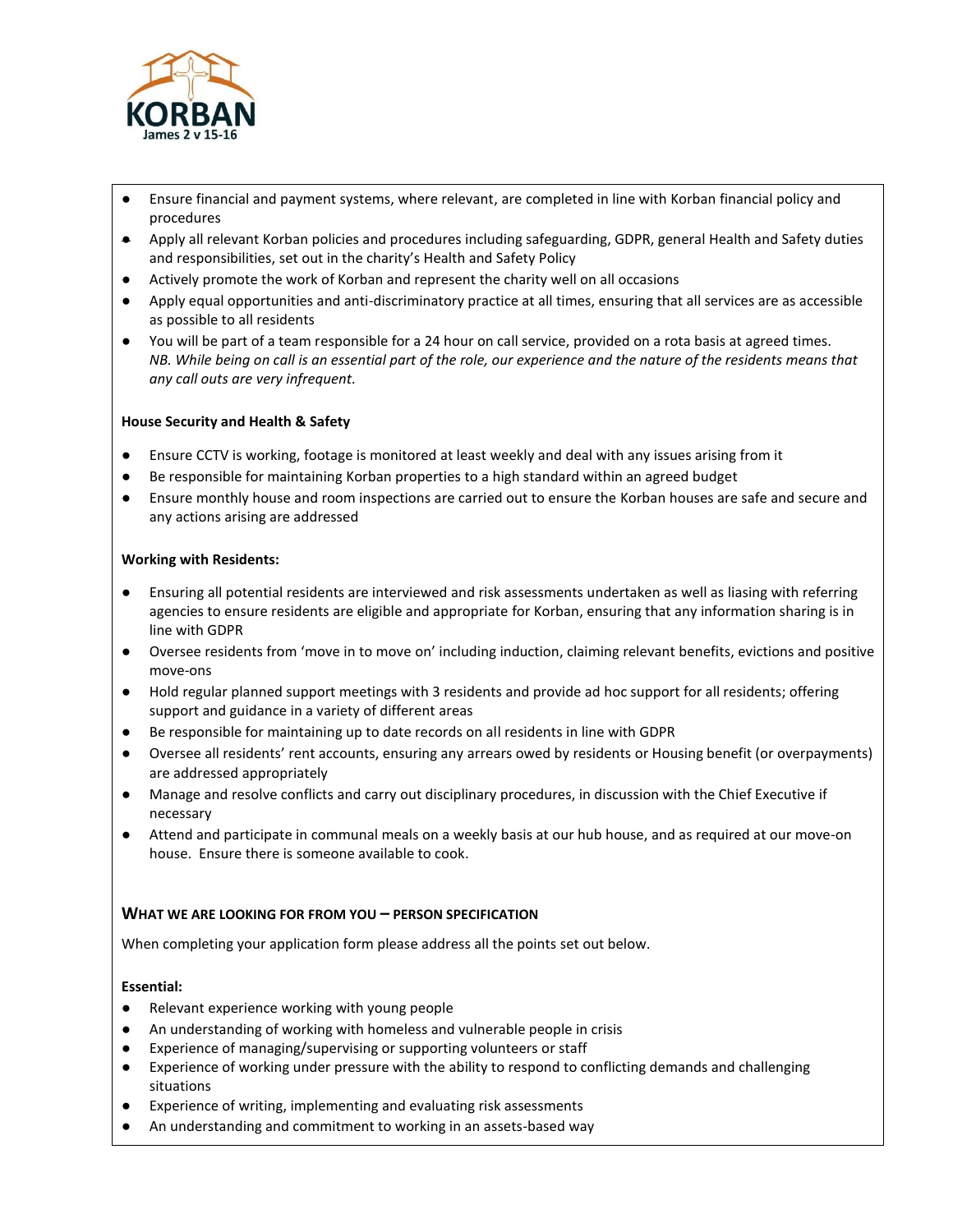

- Ensure financial and payment systems, where relevant, are completed in line with Korban financial policy and procedures
- Apply all relevant Korban policies and procedures including safeguarding, GDPR, general Health and Safety duties and responsibilities, set out in the charity's Health and Safety Policy
- Actively promote the work of Korban and represent the charity well on all occasions
- Apply equal opportunities and anti-discriminatory practice at all times, ensuring that all services are as accessible as possible to all residents
- You will be part of a team responsible for a 24 hour on call service, provided on a rota basis at agreed times. *NB. While being on call is an essential part of the role, our experience and the nature of the residents means that any call outs are very infrequent.*

## **House Security and Health & Safety**

- Ensure CCTV is working, footage is monitored at least weekly and deal with any issues arising from it
- Be responsible for maintaining Korban properties to a high standard within an agreed budget
- Ensure monthly house and room inspections are carried out to ensure the Korban houses are safe and secure and any actions arising are addressed

## **Working with Residents:**

- Ensuring all potential residents are interviewed and risk assessments undertaken as well as liasing with referring agencies to ensure residents are eligible and appropriate for Korban, ensuring that any information sharing is in line with GDPR
- Oversee residents from 'move in to move on' including induction, claiming relevant benefits, evictions and positive move-ons
- Hold regular planned support meetings with 3 residents and provide ad hoc support for all residents; offering support and guidance in a variety of different areas
- Be responsible for maintaining up to date records on all residents in line with GDPR
- Oversee all residents' rent accounts, ensuring any arrears owed by residents or Housing benefit (or overpayments) are addressed appropriately
- Manage and resolve conflicts and carry out disciplinary procedures, in discussion with the Chief Executive if necessary
- Attend and participate in communal meals on a weekly basis at our hub house, and as required at our move-on house. Ensure there is someone available to cook.

## **WHAT WE ARE LOOKING FOR FROM YOU – PERSON SPECIFICATION**

When completing your application form please address all the points set out below.

## **Essential:**

- Relevant experience working with young people
- An understanding of working with homeless and vulnerable people in crisis
- Experience of managing/supervising or supporting volunteers or staff
- Experience of working under pressure with the ability to respond to conflicting demands and challenging situations
- Experience of writing, implementing and evaluating risk assessments
- An understanding and commitment to working in an assets-based way